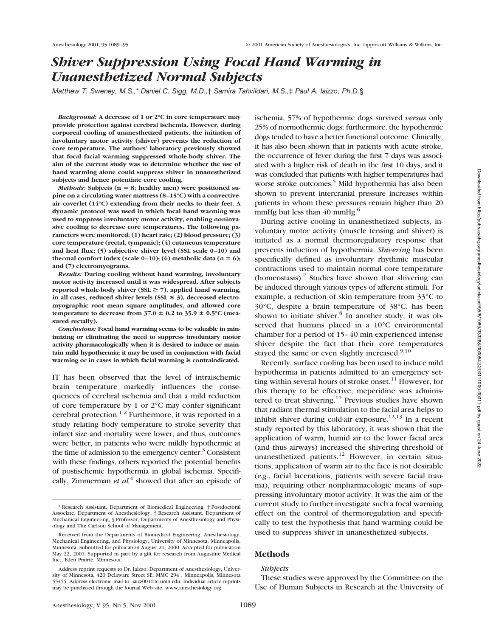# *Shiver Suppression Using Focal Hand Warming in Unanesthetized Normal Subjects*

*Matthew T. Sweney, M.S.,*\* *Daniel C. Sigg, M.D.,*† *Samira Tahvildari, M.S.,*‡ *Paul A. Iaizzo, Ph.D.*§

*Background:* **A decrease of 1 or 2°C in core temperature may provide protection against cerebral ischemia. However, during corporeal cooling of unanesthetized patients, the initiation of involuntary motor activity (shiver) prevents the reduction of core temperature. The authors' laboratory previously showed that focal facial warming suppressed whole-body shiver. The aim of the current study was to determine whether the use of hand warming alone could suppress shiver in unanesthetized subjects and hence potentiate core cooling.**

*Methods:* Subjects (n = 8; healthy men) were positioned su**pine on a circulating water mattress (8–15°C) with a convectiveair coverlet (14°C) extending from their necks to their feet. A dynamic protocol was used in which focal hand warming was used to suppress involuntary motor activity, enabling noninvasive cooling to decrease core temperatures. The following parameters were monitored: (1) heart rate; (2) blood pressure; (3) core temperature (rectal, tympanic); (4) cutaneous temperature and heat flux; (5) subjective shiver level (SSL scale 0–10) and thermal comfort index (scale**  $0-10$ **); (6) metabolic data (n = 6); and (7) electromyograms.**

*Results:* **During cooling without hand warming, involuntary motor activity increased until it was widespread. After subjects reported whole-body shiver (SSL** > **7), applied hand warming, in all cases, reduced shiver levels (SSL** < **3), decreased electromyographic root mean square amplitudes, and allowed core temperature to decrease from**  $37.0 \pm 0.2$  **to**  $35.9 \pm 0.5$ **°C (measured rectally).**

*Conclusions:* **Focal hand warming seems to be valuable in minimizing or eliminating the need to suppress involuntary motor activity pharmacologically when it is desired to induce or maintain mild hypothermia; it may be used in conjunction with facial warming or in cases in which facial warming is contraindicated.**

IT has been observed that the level of intraischemic brain temperature markedly influences the consequences of cerebral ischemia and that a mild reduction of core temperature by 1 or 2°C may confer significant cerebral protection.1,2 Furthermore, it was reported in a study relating body temperature to stroke severity that infarct size and mortality were lower, and thus, outcomes were better, in patients who were mildly hypothermic at the time of admission to the emergency center.<sup>3</sup> Consistent with these findings, others reported the potential benefits of postischemic hypothermia in global ischemia. Specifically, Zimmerman *et al.*<sup>4</sup> showed that after an episode of

ischemia, 57% of hypothermic dogs survived *versus* only 25% of normothermic dogs; furthermore, the hypothermic dogs tended to have a better functional outcome. Clinically, it has also been shown that in patients with acute stroke, the occurrence of fever during the first 7 days was associated with a higher risk of death in the first 10 days, and it was concluded that patients with higher temperatures had worse stroke outcomes.<sup>5</sup> Mild hypothermia has also been shown to prevent intercranial pressure increases within patients in whom these pressures remain higher than 20 mmHg but less than  $40 \text{ mmHg}$ <sup>6</sup>

During active cooling in unanesthetized subjects, involuntary motor activity (muscle tensing and shiver) is initiated as a normal thermoregulatory response that prevents induction of hypothermia. *Shivering* has been specifically defined as involuntary rhythmic muscular contractions used to maintain normal core temperature (homeostasis).<sup>7</sup> Studies have shown that shivering can be induced through various types of afferent stimuli. For example, a reduction of skin temperature from 33°C to 30°C, despite a brain temperature of 38°C, has been shown to initiate shiver.<sup>8</sup> In another study, it was observed that humans placed in a 10°C environmental chamber for a period of 15–40 min experienced intense shiver despite the fact that their core temperatures stayed the same or even slightly increased.<sup>9,10</sup>

Recently, surface cooling has been used to induce mild hypothermia in patients admitted to an emergency setting within several hours of stroke onset. $11$  However, for this therapy to be effective, meperidine was administered to treat shivering.<sup>11</sup> Previous studies have shown that radiant thermal stimulation to the facial area helps to inhibit shiver during cold-air exposure.<sup>12,13</sup> In a recent study reported by this laboratory, it was shown that the application of warm, humid air to the lower facial area (and thus airways) increased the shivering threshold of unanesthetized patients.<sup>12</sup> However, in certain situations, application of warm air to the face is not desirable (*e.g.*, facial lacerations, patients with severe facial trauma), requiring other nonpharmacologic means of suppressing involuntary motor activity. It was the aim of the current study to further investigate such a focal warming effect on the control of thermoregulation and specifically to test the hypothesis that hand warming could be used to suppress shiver in unanesthetized subjects.

## **Methods**

#### *Subjects*

These studies were approved by the Committee on the Use of Human Subjects in Research at the University of

<sup>\*</sup> Research Assistant, Department of Biomedical Engineering, † Postdoctoral Associate, Department of Anesthesiology, ‡ Research Assistant, Department of Mechanical Engineering, § Professor, Departments of Anesthesiology and Physiology and The Carlson School of Management.

Received from the Departments of Biomedical Engineering, Anesthesiology, Mechanical Engineering, and Physiology, University of Minnesota, Minneapolis, Minnesota. Submitted for publication August 21, 2000. Accepted for publication May 22, 2001. Supported in part by a gift for research from Augustine Medical Inc., Eden Prairie, Minnesota.

Address reprint requests to Dr. Iaizzo: Department of Anesthesiology, University of Minnesota, 420 Delaware Street SE, MMC 294 , Minneapolis, Minnesota 55455. Address electronic mail to: iaizz001@tc.umn.edu. Individual article reprints may be purchased through the Journal Web site, www.anesthesiology.org.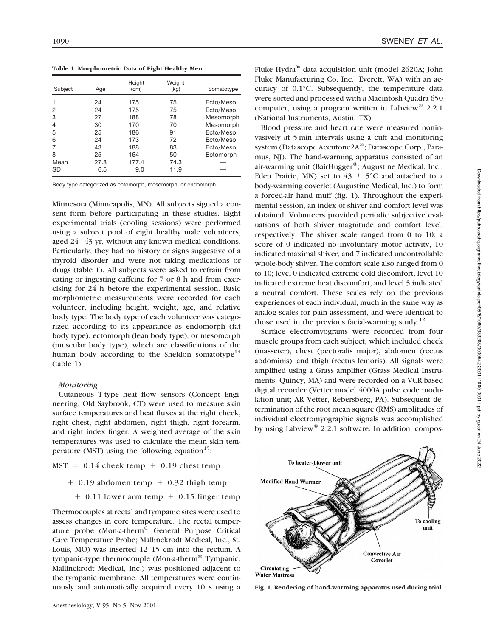**Table 1. Morphometric Data of Eight Healthy Men**

| Subject | Age  | Height<br>(cm) | Weight<br>(kg) | Somatotype |
|---------|------|----------------|----------------|------------|
|         | 24   | 175            | 75             | Ecto/Meso  |
| 2       | 24   | 175            | 75             | Ecto/Meso  |
| 3       | 27   | 188            | 78             | Mesomorph  |
| 4       | 30   | 170            | 70             | Mesomorph  |
| 5       | 25   | 186            | 91             | Ecto/Meso  |
| 6       | 24   | 173            | 72             | Ecto/Meso  |
|         | 43   | 188            | 83             | Ecto/Meso  |
| 8       | 25   | 164            | 50             | Ectomorph  |
| Mean    | 27.8 | 177.4          | 74.3           |            |
| SD      | 6.5  | 9.0            | 11.9           |            |

Body type categorized as ectomorph, mesomorph, or endomorph.

Minnesota (Minneapolis, MN). All subjects signed a consent form before participating in these studies. Eight experimental trials (cooling sessions) were performed using a subject pool of eight healthy male volunteers, aged 24–43 yr, without any known medical conditions. Particularly, they had no history or signs suggestive of a thyroid disorder and were not taking medications or drugs (table 1). All subjects were asked to refrain from eating or ingesting caffeine for 7 or 8 h and from exercising for 24 h before the experimental session. Basic morphometric measurements were recorded for each volunteer, including height, weight, age, and relative body type. The body type of each volunteer was categorized according to its appearance as endomorph (fat body type), ectomorph (lean body type), or mesomorph (muscular body type), which are classifications of the human body according to the Sheldon somatotype<sup>14</sup> (table 1).

### *Monitoring*

Cutaneous T-type heat flow sensors (Concept Engineering, Old Saybrook, CT) were used to measure skin surface temperatures and heat fluxes at the right cheek, right chest, right abdomen, right thigh, right forearm, and right index finger. A weighted average of the skin temperatures was used to calculate the mean skin temperature (MST) using the following equation $15$ :

 $MST = 0.14$  cheek temp  $+ 0.19$  chest temp

- $+ 0.19$  abdomen temp  $+ 0.32$  thigh temp
	- $+ 0.11$  lower arm temp  $+ 0.15$  finger temp

Thermocouples at rectal and tympanic sites were used to assess changes in core temperature. The rectal temperature probe (Mon-a-therm® General Purpose Critical Care Temperature Probe; Mallinckrodt Medical, Inc., St. Louis, MO) was inserted 12–15 cm into the rectum. A tympanic-type thermocouple (Mon-a-therm® Tympanic, Mallinckrodt Medical, Inc.) was positioned adjacent to the tympanic membrane. All temperatures were continuously and automatically acquired every 10 s using a Fluke Hydra® data acquisition unit (model 2620A; John Fluke Manufacturing Co. Inc., Everett, WA) with an accuracy of 0.1°C. Subsequently, the temperature data were sorted and processed with a Macintosh Quadra 650 computer, using a program written in Labview<sup>®</sup> 2.2.1 (National Instruments, Austin, TX).

Blood pressure and heart rate were measured noninvasively at 5-min intervals using a cuff and monitoring system (Datascope Accutone2A®; Datascope Corp., Paramus, NJ). The hand-warming apparatus consisted of an air-warming unit (BairHugger®; Augustine Medical, Inc., Eden Prairie, MN) set to  $43 \pm 5^{\circ}$ C and attached to a body-warming coverlet (Augustine Medical, Inc.) to form a forced-air hand muff (fig. 1). Throughout the experimental session, an index of shiver and comfort level was obtained. Volunteers provided periodic subjective evaluations of both shiver magnitude and comfort level, respectively. The shiver scale ranged from 0 to 10; a score of 0 indicated no involuntary motor activity, 10 indicated maximal shiver, and 7 indicated uncontrollable whole-body shiver. The comfort scale also ranged from 0 to 10; level 0 indicated extreme cold discomfort, level 10 indicated extreme heat discomfort, and level 5 indicated a neutral comfort. These scales rely on the previous experiences of each individual, much in the same way as analog scales for pain assessment, and were identical to those used in the previous facial-warming study.<sup>12</sup>

Surface electromyograms were recorded from four muscle groups from each subject, which included cheek (masseter), chest (pectoralis major), abdomen (rectus abdominis), and thigh (rectus femoris). All signals were amplified using a Grass amplifier (Grass Medical Instruments, Quincy, MA) and were recorded on a VCR-based digital recorder (Vetter model 4000A pulse code modulation unit; AR Vetter, Rebersberg, PA). Subsequent determination of the root mean square (RMS) amplitudes of individual electromyographic signals was accomplished by using Labview<sup>®</sup> 2.2.1 software. In addition, compos-



**Fig. 1. Rendering of hand-warming apparatus used during trial.**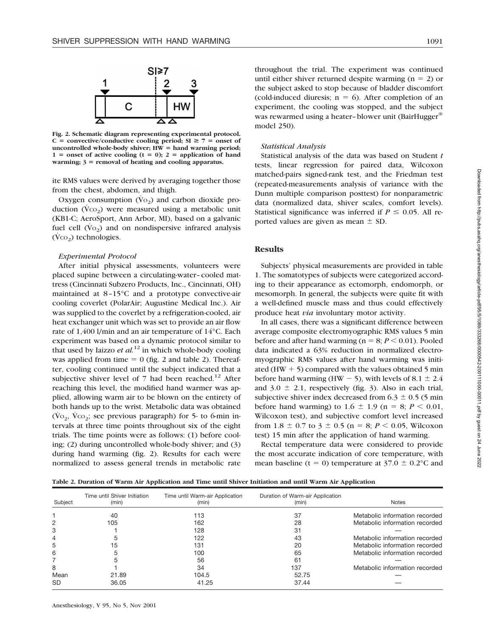

**Fig. 2. Schematic diagram representing experimental protocol.**  $C = \text{convective/conductive cooling period; } SI \ge 7 = \text{onset of}$ uncontrolled whole-body shiver; HW = hand warming period; 1 = onset of active cooling  $(t = 0)$ ; 2 = application of hand warming;  $3 =$  removal of heating and cooling apparatus.

ite RMS values were derived by averaging together those from the chest, abdomen, and thigh.

Oxygen consumption  $(\dot{V}o_2)$  and carbon dioxide production  $(\dot{V}co_2)$  were measured using a metabolic unit (KB1-C; AeroSport, Ann Arbor, MI), based on a galvanic fuel cell  $(\dot{V}o_2)$  and on nondispersive infrared analysis  $(Vco<sub>2</sub>)$  technologies.

#### *Experimental Protocol*

After initial physical assessments, volunteers were placed supine between a circulating-water–cooled mattress (Cincinnati Subzero Products, Inc., Cincinnati, OH) maintained at 8–15°C and a prototype convective-air cooling coverlet (PolarAir; Augustine Medical Inc.). Air was supplied to the coverlet by a refrigeration-cooled, air heat exchanger unit which was set to provide an air flow rate of 1,400 l/min and an air temperature of 14°C. Each experiment was based on a dynamic protocol similar to that used by Iaizzo *et al.*<sup>12</sup> in which whole-body cooling was applied from time  $= 0$  (fig. 2 and table 2). Thereafter, cooling continued until the subject indicated that a subjective shiver level of  $7$  had been reached.<sup>12</sup> After reaching this level, the modified hand warmer was applied, allowing warm air to be blown on the entirety of both hands up to the wrist. Metabolic data was obtained  $(V_{{}o_2}$ ,  $V_{{}co_2}$ ; see previous paragraph) for 5- to 6-min intervals at three time points throughout six of the eight trials. The time points were as follows: (1) before cooling; (2) during uncontrolled whole-body shiver; and (3) during hand warming (fig. 2). Results for each were normalized to assess general trends in metabolic rate

throughout the trial. The experiment was continued until either shiver returned despite warming  $(n = 2)$  or the subject asked to stop because of bladder discomfort (cold-induced diuresis;  $n = 6$ ). After completion of an experiment, the cooling was stopped, and the subject was rewarmed using a heater–blower unit (BairHugger<sup>®</sup> model 250).

## *Statistical Analysis*

Statistical analysis of the data was based on Student *t* tests, linear regression for paired data, Wilcoxon matched-pairs signed-rank test, and the Friedman test (repeated-measurements analysis of variance with the Dunn multiple comparison posttest) for nonparametric data (normalized data, shiver scales, comfort levels). Statistical significance was inferred if  $P \leq 0.05$ . All reported values are given as mean  $\pm$  SD.

## **Results**

Subjects' physical measurements are provided in table 1. The somatotypes of subjects were categorized according to their appearance as ectomorph, endomorph, or mesomorph. In general, the subjects were quite fit with a well-defined muscle mass and thus could effectively produce heat *via* involuntary motor activity.

In all cases, there was a significant difference between average composite electromyographic RMS values 5 min before and after hand warming ( $n = 8$ ;  $P \le 0.01$ ). Pooled data indicated a 63% reduction in normalized electromyographic RMS values after hand warming was initiated (HW  $+$  5) compared with the values obtained 5 min before hand warming (HW  $-$  5), with levels of 8.1  $\pm$  2.4 and  $3.0 \pm 2.1$ , respectively (fig. 3). Also in each trial, subjective shiver index decreased from 6.3  $\pm$  0.5 (5 min before hand warming) to  $1.6 \pm 1.9$  (n = 8; *P* < 0.01, Wilcoxon test), and subjective comfort level increased from 1.8  $\pm$  0.7 to 3  $\pm$  0.5 (n = 8; *P* < 0.05, Wilcoxon test) 15 min after the application of hand warming.

Rectal temperature data were considered to provide the most accurate indication of core temperature, with mean baseline (t = 0) temperature at  $37.0 \pm 0.2$ °C and

**Table 2. Duration of Warm Air Application and Time until Shiver Initiation and until Warm Air Application**

| Subject   | Time until Shiver Initiation<br>(min) | Time until Warm-air Application<br>(min) | Duration of Warm-air Application<br>(min) | <b>Notes</b>                   |
|-----------|---------------------------------------|------------------------------------------|-------------------------------------------|--------------------------------|
|           | 40                                    | 113                                      | 37                                        | Metabolic information recorded |
|           | 105                                   | 162                                      | 28                                        | Metabolic information recorded |
| 3         |                                       | 128                                      | 31                                        |                                |
| 4         |                                       | 122                                      | 43                                        | Metabolic information recorded |
| 5         | b                                     | 131                                      | 20                                        | Metabolic information recorded |
| 6         |                                       | 100                                      | 65                                        | Metabolic information recorded |
|           |                                       | 56                                       | 61                                        |                                |
| 8         |                                       | 34                                       | 137                                       | Metabolic information recorded |
| Mean      | 21.89                                 | 104.5                                    | 52.75                                     |                                |
| <b>SD</b> | 36.05                                 | 41.25                                    | 37.44                                     |                                |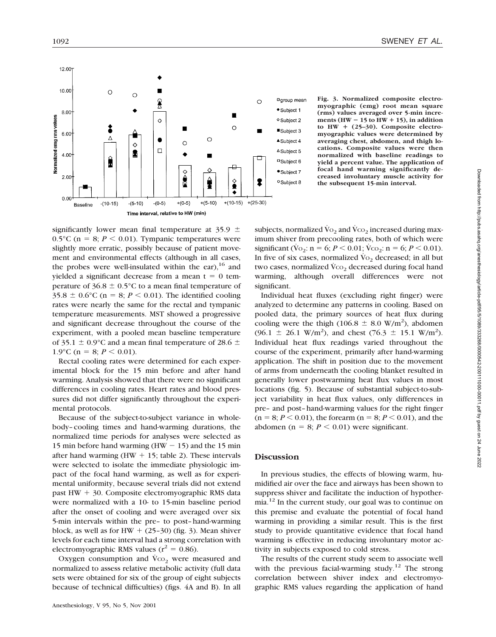

**Fig. 3. Normalized composite electromyographic (emg) root mean square (rms) values averaged over 5-min incre**ments ( $HW - 15$  to  $HW + 15$ ), in addition  $\text{t}$ **to HW** + (25-30). Composite electro**myographic values were determined by averaging chest, abdomen, and thigh locations. Composite values were then normalized with baseline readings to yield a percent value. The application of focal hand warming significantly decreased involuntary muscle activity for the subsequent 15-min interval.**

significantly lower mean final temperature at  $35.9 \pm$ 0.5°C ( $n = 8$ ;  $P < 0.01$ ). Tympanic temperatures were slightly more erratic, possibly because of patient movement and environmental effects (although in all cases, the probes were well-insulated within the ear),  $16$  and vielded a significant decrease from a mean  $t = 0$  temperature of  $36.8 \pm 0.5^{\circ}$ C to a mean final temperature of  $35.8 \pm 0.6^{\circ}$ C (n = 8; *P* < 0.01). The identified cooling rates were nearly the same for the rectal and tympanic temperature measurements. MST showed a progressive and significant decrease throughout the course of the experiment, with a pooled mean baseline temperature of 35.1  $\pm$  0.9°C and a mean final temperature of 28.6  $\pm$ 1.9°C (n = 8;  $P < 0.01$ ).

Rectal cooling rates were determined for each experimental block for the 15 min before and after hand warming. Analysis showed that there were no significant differences in cooling rates. Heart rates and blood pressures did not differ significantly throughout the experimental protocols.

Because of the subject-to-subject variance in wholebody–cooling times and hand-warming durations, the normalized time periods for analyses were selected as 15 min before hand warming (HW  $-$  15) and the 15 min after hand warming (HW  $+$  15; table 2). These intervals were selected to isolate the immediate physiologic impact of the focal hand warming, as well as for experimental uniformity, because several trials did not extend past  $HW + 30$ . Composite electromyographic RMS data were normalized with a 10- to 15-min baseline period after the onset of cooling and were averaged over six 5-min intervals within the pre– to post–hand-warming block, as well as for HW  $+$  (25–30) (fig. 3). Mean shiver levels for each time interval had a strong correlation with electromyographic RMS values ( $r^2 = 0.86$ ).

Oxygen consumption and  $\dot{V}_{CO}$  were measured and normalized to assess relative metabolic activity (full data sets were obtained for six of the group of eight subjects because of technical difficulties) (figs. 4A and B). In all subjects, normalized  $\overline{V}o_2$  and  $\overline{V}co_2$  increased during maximum shiver from precooling rates, both of which were significant (V<sub>O2</sub>: n = 6; *P* < 0.01; V<sub>CO2</sub>: n = 6; *P* < 0.01). In five of six cases, normalized  $\dot{V}$ <sub>O2</sub> decreased; in all but two cases, normalized Vco<sub>2</sub> decreased during focal hand warming, although overall differences were not significant.

Individual heat fluxes (excluding right finger) were analyzed to determine any patterns in cooling. Based on pooled data, the primary sources of heat flux during cooling were the thigh (106.8  $\pm$  8.0 W/m<sup>2</sup>), abdomen  $(96.1 \pm 26.1 \text{ W/m}^2)$ , and chest  $(76.3 \pm 15.1 \text{ W/m}^2)$ . Individual heat flux readings varied throughout the course of the experiment, primarily after hand-warming application. The shift in position due to the movement of arms from underneath the cooling blanket resulted in generally lower postwarming heat flux values in most locations (fig. 5). Because of substantial subject-to-subject variability in heat flux values, only differences in pre– and post–hand-warming values for the right finger  $(n = 8; P < 0.01)$ , the forearm  $(n = 8; P < 0.01)$ , and the abdomen ( $n = 8$ ;  $P < 0.01$ ) were significant.

## **Discussion**

In previous studies, the effects of blowing warm, humidified air over the face and airways has been shown to suppress shiver and facilitate the induction of hypothermia. $^{12}$  In the current study, our goal was to continue on this premise and evaluate the potential of focal hand warming in providing a similar result. This is the first study to provide quantitative evidence that focal hand warming is effective in reducing involuntary motor activity in subjects exposed to cold stress.

The results of the current study seem to associate well with the previous facial-warming study.<sup>12</sup> The strong correlation between shiver index and electromyographic RMS values regarding the application of hand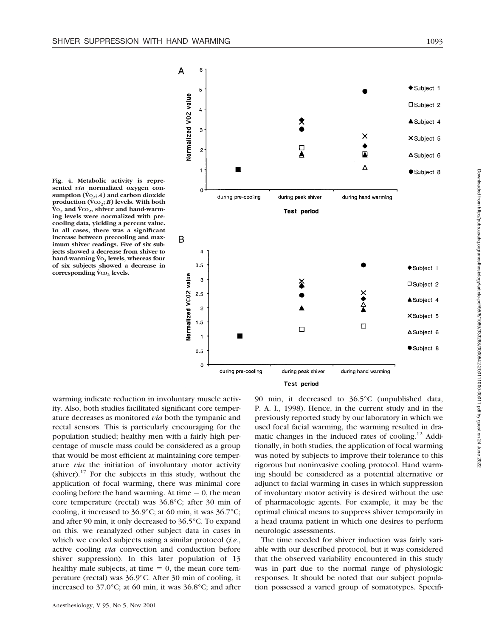



warming indicate reduction in involuntary muscle activity. Also, both studies facilitated significant core temperature decreases as monitored *via* both the tympanic and rectal sensors. This is particularly encouraging for the population studied; healthy men with a fairly high percentage of muscle mass could be considered as a group that would be most efficient at maintaining core temperature *via* the initiation of involuntary motor activity (shiver).<sup>17</sup> For the subjects in this study, without the application of focal warming, there was minimal core cooling before the hand warming. At time  $= 0$ , the mean core temperature (rectal) was 36.8°C; after 30 min of cooling, it increased to 36.9°C; at 60 min, it was 36.7°C; and after 90 min, it only decreased to 36.5°C. To expand on this, we reanalyzed other subject data in cases in which we cooled subjects using a similar protocol (*i.e.*, active cooling *via* convection and conduction before shiver suppression). In this later population of 13 healthy male subjects, at time  $= 0$ , the mean core temperature (rectal) was 36.9°C. After 30 min of cooling, it increased to 37.0°C; at 60 min, it was 36.8°C; and after

used focal facial warming, the warming resulted in dramatic changes in the induced rates of cooling.<sup>12</sup> Additionally, in both studies, the application of focal warming was noted by subjects to improve their tolerance to this rigorous but noninvasive cooling protocol. Hand warming should be considered as a potential alternative or adjunct to facial warming in cases in which suppression of involuntary motor activity is desired without the use of pharmacologic agents. For example, it may be the optimal clinical means to suppress shiver temporarily in a head trauma patient in which one desires to perform neurologic assessments. The time needed for shiver induction was fairly vari-

90 min, it decreased to 36.5°C (unpublished data, P. A. I., 1998). Hence, in the current study and in the previously reported study by our laboratory in which we

able with our described protocol, but it was considered that the observed variability encountered in this study was in part due to the normal range of physiologic responses. It should be noted that our subject population possessed a varied group of somatotypes. Specifi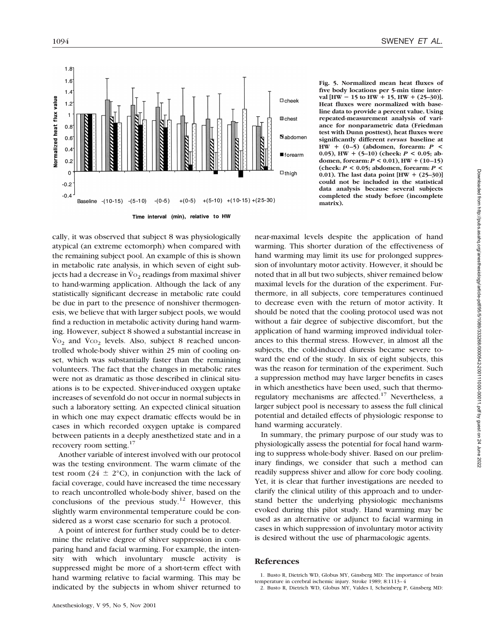$1.8$  $1.6$  $1.4$ 

 $1.2$  $\overline{1}$ 



 $\Box$ cheek

**E**chest



cally, it was observed that subject 8 was physiologically atypical (an extreme ectomorph) when compared with the remaining subject pool. An example of this is shown in metabolic rate analysis, in which seven of eight subjects had a decrease in  $Vo<sub>2</sub>$  readings from maximal shiver to hand-warming application. Although the lack of any statistically significant decrease in metabolic rate could be due in part to the presence of nonshiver thermogenesis, we believe that with larger subject pools, we would find a reduction in metabolic activity during hand warming. However, subject 8 showed a substantial increase in  $\dot{V}$ <sub>O2</sub> and  $\dot{V}$ <sub>CO2</sub> levels. Also, subject 8 reached uncontrolled whole-body shiver within 25 min of cooling onset, which was substantially faster than the remaining volunteers. The fact that the changes in metabolic rates were not as dramatic as those described in clinical situations is to be expected. Shiver-induced oxygen uptake increases of sevenfold do not occur in normal subjects in such a laboratory setting. An expected clinical situation in which one may expect dramatic effects would be in cases in which recorded oxygen uptake is compared between patients in a deeply anesthetized state and in a recovery room setting.<sup>17</sup>

Another variable of interest involved with our protocol was the testing environment. The warm climate of the test room (24  $\pm$  2°C), in conjunction with the lack of facial coverage, could have increased the time necessary to reach uncontrolled whole-body shiver, based on the conclusions of the previous study.12 However, this slightly warm environmental temperature could be considered as a worst case scenario for such a protocol.

A point of interest for further study could be to determine the relative degree of shiver suppression in comparing hand and facial warming. For example, the intensity with which involuntary muscle activity is suppressed might be more of a short-term effect with hand warming relative to facial warming. This may be indicated by the subjects in whom shiver returned to near-maximal levels despite the application of hand warming. This shorter duration of the effectiveness of hand warming may limit its use for prolonged suppression of involuntary motor activity. However, it should be noted that in all but two subjects, shiver remained below maximal levels for the duration of the experiment. Furthermore, in all subjects, core temperatures continued to decrease even with the return of motor activity. It should be noted that the cooling protocol used was not without a fair degree of subjective discomfort, but the application of hand warming improved individual tolerances to this thermal stress. However, in almost all the subjects, the cold-induced diuresis became severe toward the end of the study. In six of eight subjects, this was the reason for termination of the experiment. Such a suppression method may have larger benefits in cases in which anesthetics have been used, such that thermoregulatory mechanisms are affected.<sup>17</sup> Nevertheless, a larger subject pool is necessary to assess the full clinical potential and detailed effects of physiologic response to hand warming accurately.

In summary, the primary purpose of our study was to physiologically assess the potential for focal hand warming to suppress whole-body shiver. Based on our preliminary findings, we consider that such a method can readily suppress shiver and allow for core body cooling. Yet, it is clear that further investigations are needed to clarify the clinical utility of this approach and to understand better the underlying physiologic mechanisms evoked during this pilot study. Hand warming may be used as an alternative or adjunct to facial warming in cases in which suppression of involuntary motor activity is desired without the use of pharmacologic agents.

## **References**

1. Busto R, Dietrich WD, Globus MY, Ginsberg MD: The importance of brain temperature in cerebral ischemic injury. Stroke 1989; 8:1113–4

<sup>2.</sup> Busto R, Dietrich WD, Globus MY, Valdes I, Scheinberg P, Ginsberg MD: